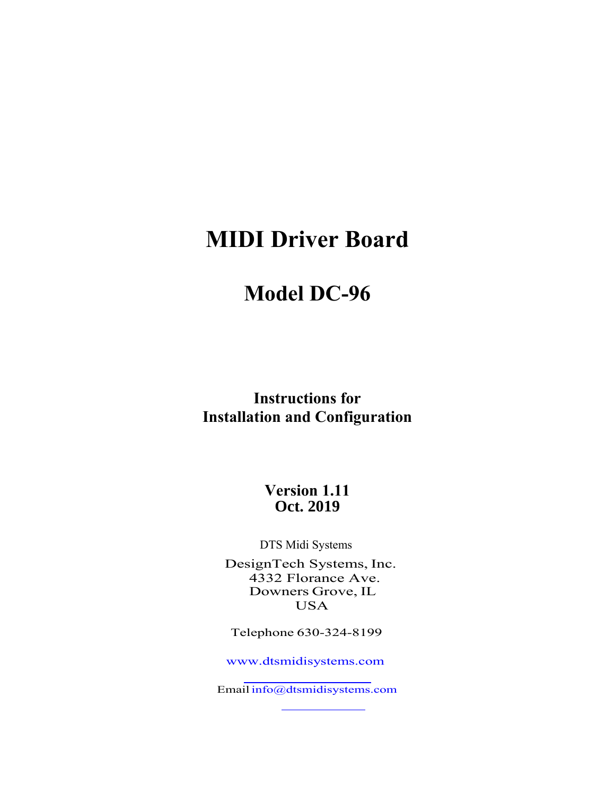# **MIDI Driver Board**

# **Model DC-96**

**Instructions for Installation and Configuration**

> **Version 1.11 Oct. 2019**

DTS Midi Systems

DesignTech Systems, Inc. Downers Grove, IL 4332 Florance Ave. USA

Telephone 630-324-8199

www.dtsmidisystems.com

Email [info@dtsmidisystems.](http://www.dstmidisystems.com/)com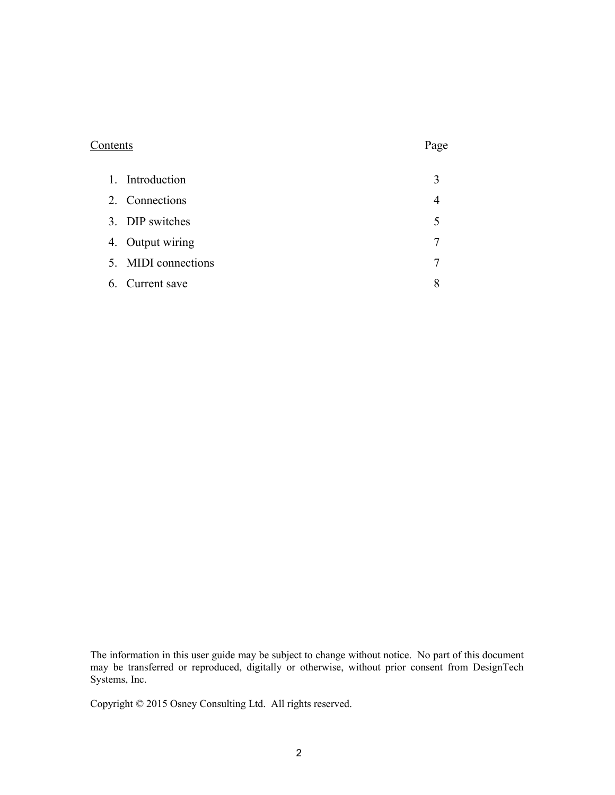# Contents Page

| 1. Introduction     |   |
|---------------------|---|
| 2. Connections      |   |
| 3. DIP switches     |   |
| 4. Output wiring    |   |
| 5. MIDI connections | 7 |
| 6. Current save     |   |

The information in this user guide may be subject to change without notice. No part of this document may be transferred or reproduced, digitally or otherwise, without prior consent from DesignTech Systems, Inc.

Copyright © 2015 Osney Consulting Ltd. All rights reserved.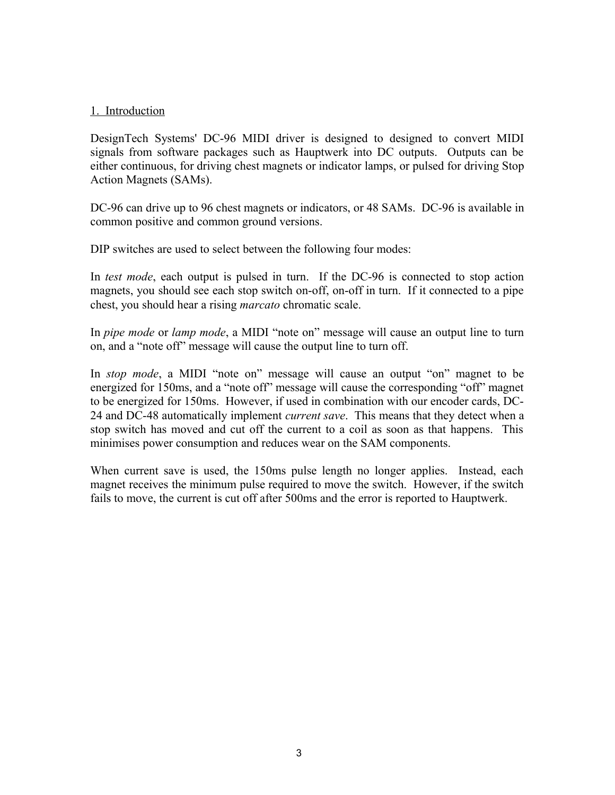# 1. Introduction

DesignTech Systems' DC-96 MIDI driver is designed to designed to convert MIDI signals from software packages such as Hauptwerk into DC outputs. Outputs can be either continuous, for driving chest magnets or indicator lamps, or pulsed for driving Stop Action Magnets (SAMs).

DC-96 can drive up to 96 chest magnets or indicators, or 48 SAMs. DC-96 is available in common positive and common ground versions.

DIP switches are used to select between the following four modes:

In *test mode*, each output is pulsed in turn. If the DC-96 is connected to stop action magnets, you should see each stop switch on-off, on-off in turn. If it connected to a pipe chest, you should hear a rising *marcato* chromatic scale.

In *pipe mode* or *lamp mode*, a MIDI "note on" message will cause an output line to turn on, and a "note off" message will cause the output line to turn off.

In *stop mode*, a MIDI "note on" message will cause an output "on" magnet to be energized for 150ms, and a "note off" message will cause the corresponding "off" magnet to be energized for 150ms. However, if used in combination with our encoder cards, DC-24 and DC-48 automatically implement *current save*. This means that they detect when a stop switch has moved and cut off the current to a coil as soon as that happens. This minimises power consumption and reduces wear on the SAM components.

When current save is used, the 150ms pulse length no longer applies. Instead, each magnet receives the minimum pulse required to move the switch. However, if the switch fails to move, the current is cut off after 500ms and the error is reported to Hauptwerk.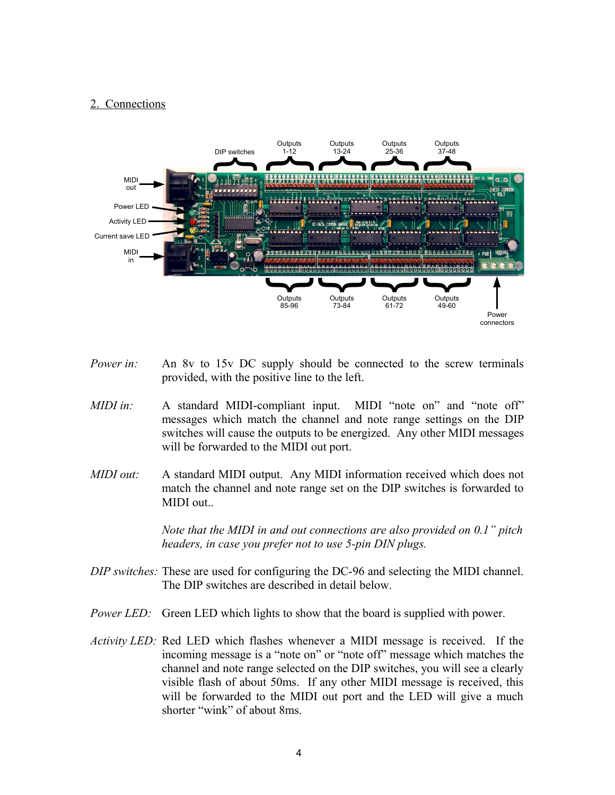#### 2. Connections



- *Power in:* An 8v to 15v DC supply should be connected to the screw terminals provided, with the positive line to the left.
- *MIDI in:* A standard MIDI-compliant input. MIDI "note on" and "note off" messages which match the channel and note range settings on the DIP switches will cause the outputs to be energized. Any other MIDI messages will be forwarded to the MIDI out port.
- *MIDI out:* A standard MIDI output. Any MIDI information received which does not match the channel and note range set on the DIP switches is forwarded to MIDI out..

*Note that the MIDI in and out connections are also provided on 0.1" pitch headers, in case you prefer not to use 5-pin DIN plugs.*

- *DIP switches:* These are used for configuring the DC-96 and selecting the MIDI channel. The DIP switches are described in detail below.
- *Power LED:* Green LED which lights to show that the board is supplied with power.
- *Activity LED:* Red LED which flashes whenever a MIDI message is received. If the incoming message is a "note on" or "note off" message which matches the channel and note range selected on the DIP switches, you will see a clearly visible flash of about 50ms. If any other MIDI message is received, this will be forwarded to the MIDI out port and the LED will give a much shorter "wink" of about 8ms.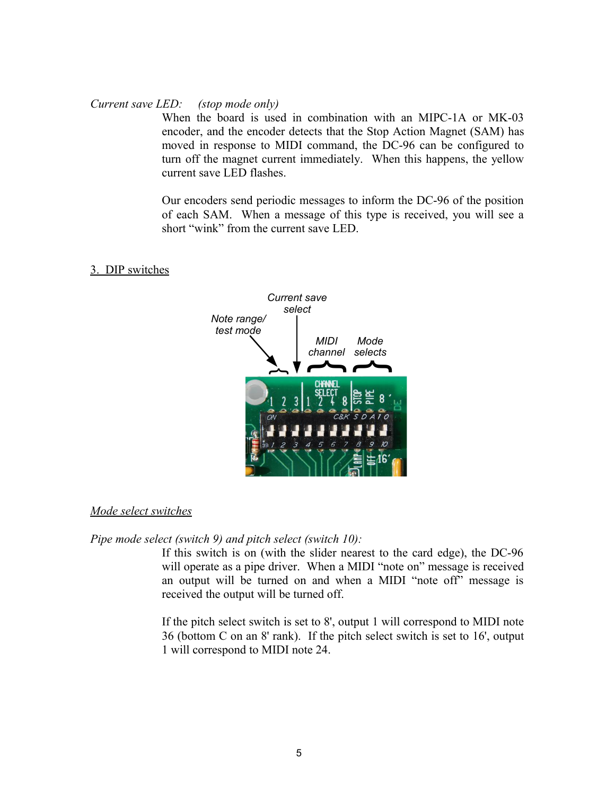#### *Current save LED: (stop mode only)*

When the board is used in combination with an MIPC-1A or MK-03 encoder, and the encoder detects that the Stop Action Magnet (SAM) has moved in response to MIDI command, the DC-96 can be configured to turn off the magnet current immediately. When this happens, the yellow current save LED flashes.

Our encoders send periodic messages to inform the DC-96 of the position of each SAM. When a message of this type is received, you will see a short "wink" from the current save LED.

### 3. DIP switches



#### *Mode select switches*

*Pipe mode select (switch 9) and pitch select (switch 10):*

If this switch is on (with the slider nearest to the card edge), the DC-96 will operate as a pipe driver. When a MIDI "note on" message is received an output will be turned on and when a MIDI "note off" message is received the output will be turned off.

If the pitch select switch is set to 8', output 1 will correspond to MIDI note 36 (bottom C on an 8' rank). If the pitch select switch is set to 16', output 1 will correspond to MIDI note 24.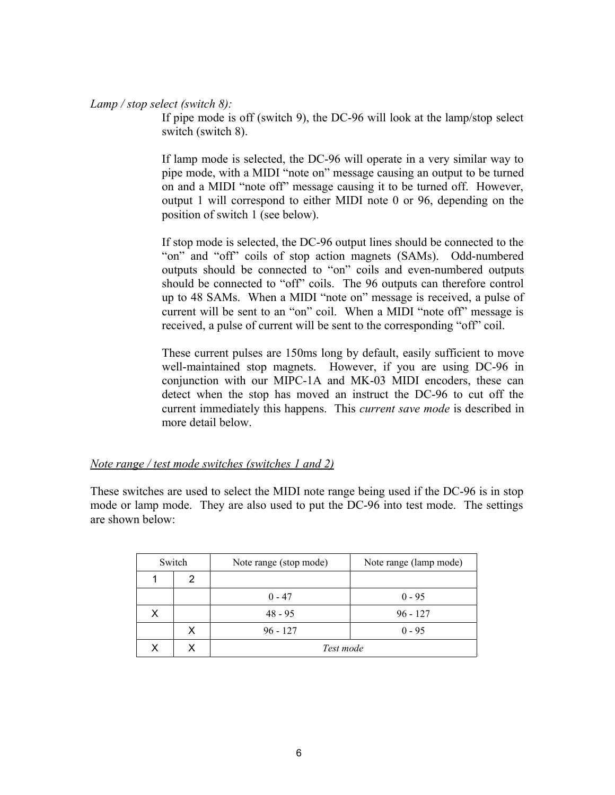*Lamp / stop select (switch 8):*

If pipe mode is off (switch 9), the DC-96 will look at the lamp/stop select switch (switch 8).

If lamp mode is selected, the DC-96 will operate in a very similar way to pipe mode, with a MIDI "note on" message causing an output to be turned on and a MIDI "note off" message causing it to be turned off. However, output 1 will correspond to either MIDI note 0 or 96, depending on the position of switch 1 (see below).

If stop mode is selected, the DC-96 output lines should be connected to the "on" and "off" coils of stop action magnets (SAMs). Odd-numbered outputs should be connected to "on" coils and even-numbered outputs should be connected to "off" coils. The 96 outputs can therefore control up to 48 SAMs. When a MIDI "note on" message is received, a pulse of current will be sent to an "on" coil. When a MIDI "note off" message is received, a pulse of current will be sent to the corresponding "off" coil.

These current pulses are 150ms long by default, easily sufficient to move well-maintained stop magnets. However, if you are using DC-96 in conjunction with our MIPC-1A and MK-03 MIDI encoders, these can detect when the stop has moved an instruct the DC-96 to cut off the current immediately this happens. This *current save mode* is described in more detail below.

*Note range / test mode switches (switches 1 and 2)*

These switches are used to select the MIDI note range being used if the DC-96 is in stop mode or lamp mode. They are also used to put the DC-96 into test mode. The settings are shown below:

|   | Switch | Note range (stop mode) | Note range (lamp mode) |  |  |
|---|--------|------------------------|------------------------|--|--|
|   | 2      |                        |                        |  |  |
|   |        | $0 - 47$               | $0 - 95$               |  |  |
| x |        | $48 - 95$              | $96 - 127$             |  |  |
|   | x      | $96 - 127$             | $0 - 95$               |  |  |
|   | x      | Test mode              |                        |  |  |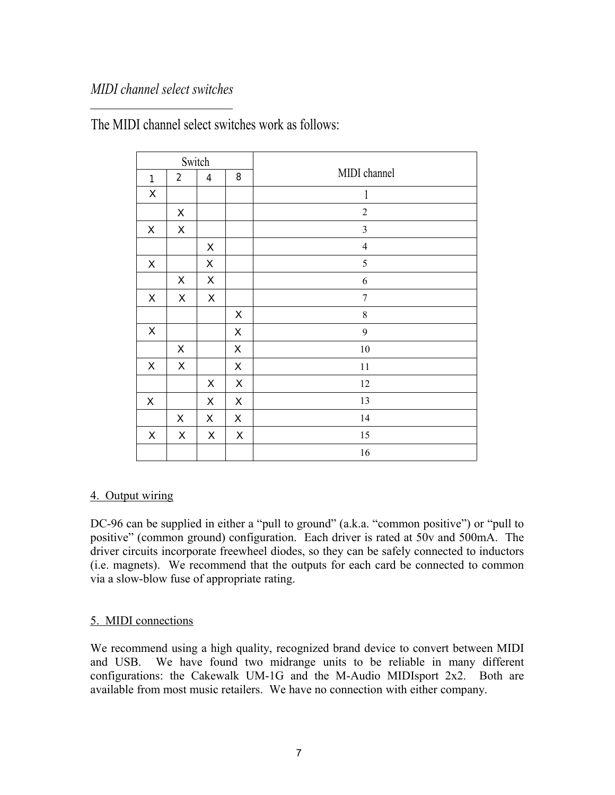# *MIDI channel select switches*

|                           |                           | Switch                   |                    |                |
|---------------------------|---------------------------|--------------------------|--------------------|----------------|
| $\mathbf{1}$              | $\overline{2}$            | $\overline{\mathcal{L}}$ | 8                  | MIDI channel   |
| $\boldsymbol{\mathsf{X}}$ |                           |                          |                    | $\mathbf{1}$   |
|                           | $\pmb{\times}$            |                          |                    | $\sqrt{2}$     |
| $\pmb{\times}$            | $\mathsf X$               |                          |                    | $\mathfrak{Z}$ |
|                           |                           | X                        |                    | $\overline{4}$ |
| $\mathsf X$               |                           | $\mathsf X$              |                    | 5              |
|                           | X                         | X                        |                    | 6              |
| $\mathsf X$               | X                         | X                        |                    | $\sqrt{ }$     |
|                           |                           |                          | X                  | $\,$ $\,$      |
| $\boldsymbol{\mathsf{X}}$ |                           |                          | X                  | 9              |
|                           | $\mathsf X$               |                          | $\pmb{\mathsf{X}}$ | $10\,$         |
| $\pmb{\times}$            | X                         |                          | $\mathsf X$        | 11             |
|                           |                           | $\pmb{\mathsf{X}}$       | X                  | 12             |
| $\mathsf X$               |                           | X                        | $\pmb{\times}$     | 13             |
|                           | $\mathsf X$               | X                        | X                  | 14             |
| $\mathsf X$               | $\boldsymbol{\mathsf{X}}$ | X                        | $\mathsf X$        | $15\,$         |
|                           |                           |                          |                    | 16             |

The MIDI channel select switches work as follows:

# 4. Output wiring

DC-96 can be supplied in either a "pull to ground" (a.k.a. "common positive") or "pull to positive" (common ground) configuration. Each driver is rated at 50v and 500mA. The driver circuits incorporate freewheel diodes, so they can be safely connected to inductors (i.e. magnets). We recommend that the outputs for each card be connected to common via a slow-blow fuse of appropriate rating.

# 5. MIDI connections

We recommend using a high quality, recognized brand device to convert between MIDI and USB. We have found two midrange units to be reliable in many different configurations: the Cakewalk UM-1G and the M-Audio MIDIsport 2x2. Both are available from most music retailers. We have no connection with either company.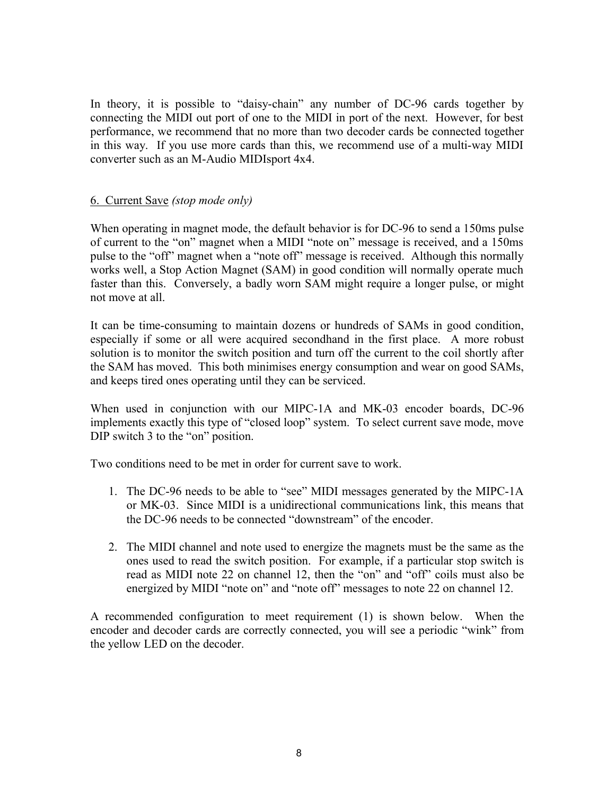In theory, it is possible to "daisy-chain" any number of DC-96 cards together by connecting the MIDI out port of one to the MIDI in port of the next. However, for best performance, we recommend that no more than two decoder cards be connected together in this way. If you use more cards than this, we recommend use of a multi-way MIDI converter such as an M-Audio MIDIsport 4x4.

# 6. Current Save *(stop mode only)*

When operating in magnet mode, the default behavior is for DC-96 to send a 150ms pulse of current to the "on" magnet when a MIDI "note on" message is received, and a 150ms pulse to the "off" magnet when a "note off" message is received. Although this normally works well, a Stop Action Magnet (SAM) in good condition will normally operate much faster than this. Conversely, a badly worn SAM might require a longer pulse, or might not move at all.

It can be time-consuming to maintain dozens or hundreds of SAMs in good condition, especially if some or all were acquired secondhand in the first place. A more robust solution is to monitor the switch position and turn off the current to the coil shortly after the SAM has moved. This both minimises energy consumption and wear on good SAMs, and keeps tired ones operating until they can be serviced.

When used in conjunction with our MIPC-1A and MK-03 encoder boards, DC-96 implements exactly this type of "closed loop" system. To select current save mode, move DIP switch 3 to the "on" position.

Two conditions need to be met in order for current save to work.

- 1. The DC-96 needs to be able to "see" MIDI messages generated by the MIPC-1A or MK-03. Since MIDI is a unidirectional communications link, this means that the DC-96 needs to be connected "downstream" of the encoder.
- 2. The MIDI channel and note used to energize the magnets must be the same as the ones used to read the switch position. For example, if a particular stop switch is read as MIDI note 22 on channel 12, then the "on" and "off" coils must also be energized by MIDI "note on" and "note off" messages to note 22 on channel 12.

A recommended configuration to meet requirement (1) is shown below. When the encoder and decoder cards are correctly connected, you will see a periodic "wink" from the yellow LED on the decoder.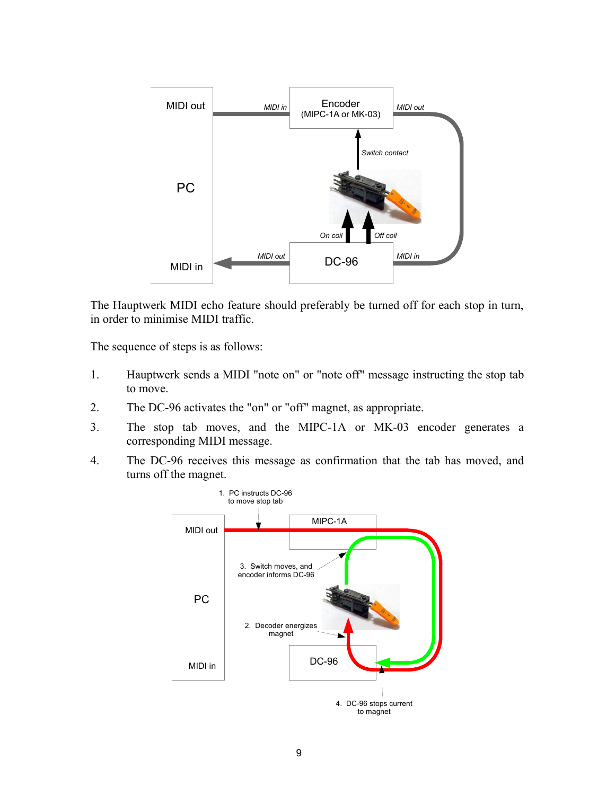

The Hauptwerk MIDI echo feature should preferably be turned off for each stop in turn, in order to minimise MIDI traffic.

The sequence of steps is as follows:

- 1. Hauptwerk sends a MIDI "note on" or "note off" message instructing the stop tab to move.
- 2. The DC-96 activates the "on" or "off" magnet, as appropriate.
- 3. The stop tab moves, and the MIPC-1A or MK-03 encoder generates a corresponding MIDI message.
- 4. The DC-96 receives this message as confirmation that the tab has moved, and turns off the magnet.

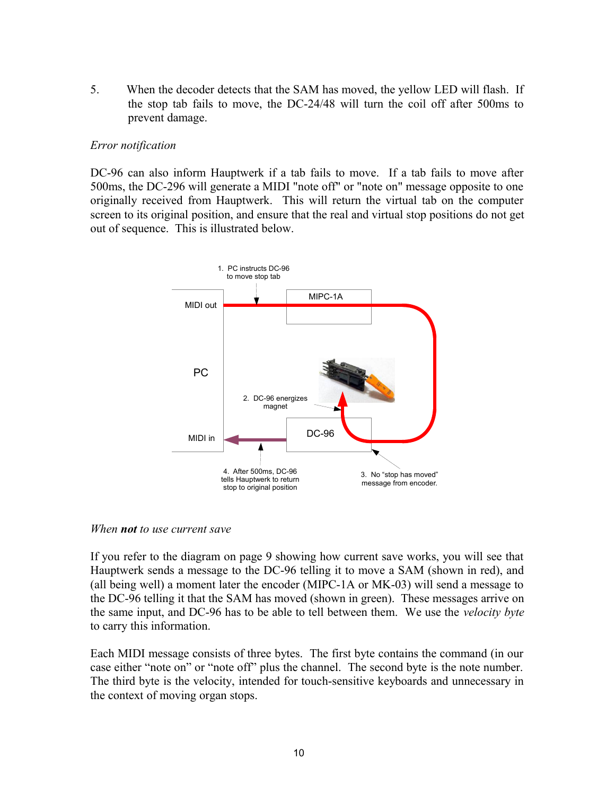5. When the decoder detects that the SAM has moved, the yellow LED will flash. If the stop tab fails to move, the DC-24/48 will turn the coil off after 500ms to prevent damage.

# *Error notification*

DC-96 can also inform Hauptwerk if a tab fails to move. If a tab fails to move after 500ms, the DC-296 will generate a MIDI "note off" or "note on" message opposite to one originally received from Hauptwerk. This will return the virtual tab on the computer screen to its original position, and ensure that the real and virtual stop positions do not get out of sequence. This is illustrated below.



### *When not to use current save*

If you refer to the diagram on page 9 showing how current save works, you will see that Hauptwerk sends a message to the DC-96 telling it to move a SAM (shown in red), and (all being well) a moment later the encoder (MIPC-1A or MK-03) will send a message to the DC-96 telling it that the SAM has moved (shown in green). These messages arrive on the same input, and DC-96 has to be able to tell between them. We use the *velocity byte* to carry this information.

Each MIDI message consists of three bytes. The first byte contains the command (in our case either "note on" or "note off" plus the channel. The second byte is the note number. The third byte is the velocity, intended for touch-sensitive keyboards and unnecessary in the context of moving organ stops.